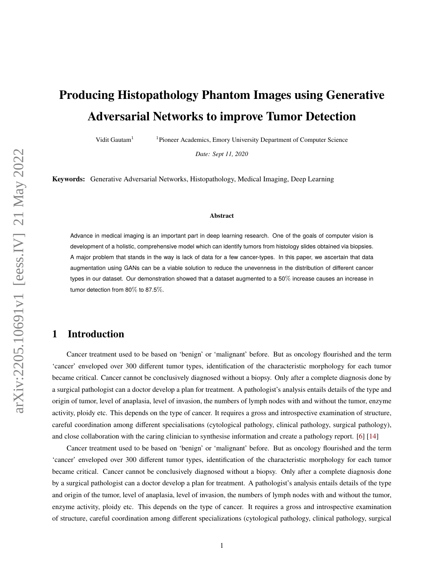# **Producing Histopathology Phantom Images using Generative Adversarial Networks to improve Tumor Detection**

Vidit Gautam<sup>1</sup> <sup>1</sup>Pioneer Academics, Emory University Department of Computer Science

*Date: Sept 11, 2020*

**Keywords:** Generative Adversarial Networks, Histopathology, Medical Imaging, Deep Learning

#### **Abstract**

Advance in medical imaging is an important part in deep learning research. One of the goals of computer vision is development of a holistic, comprehensive model which can identify tumors from histology slides obtained via biopsies. A major problem that stands in the way is lack of data for a few cancer-types. In this paper, we ascertain that data augmentation using GANs can be a viable solution to reduce the unevenness in the distribution of different cancer types in our dataset. Our demonstration showed that a dataset augmented to a 50% increase causes an increase in tumor detection from 80% to 87.5%.

## **1 Introduction**

Cancer treatment used to be based on 'benign' or 'malignant' before. But as oncology flourished and the term 'cancer' enveloped over 300 different tumor types, identification of the characteristic morphology for each tumor became critical. Cancer cannot be conclusively diagnosed without a biopsy. Only after a complete diagnosis done by a surgical pathologist can a doctor develop a plan for treatment. A pathologist's analysis entails details of the type and origin of tumor, level of anaplasia, level of invasion, the numbers of lymph nodes with and without the tumor, enzyme activity, ploidy etc. This depends on the type of cancer. It requires a gross and introspective examination of structure, careful coordination among different specialisations (cytological pathology, clinical pathology, surgical pathology), and close collaboration with the caring clinician to synthesise information and create a pathology report. [\[6\]](#page-5-0) [\[14\]](#page-6-0)

Cancer treatment used to be based on 'benign' or 'malignant' before. But as oncology flourished and the term 'cancer' enveloped over 300 different tumor types, identification of the characteristic morphology for each tumor became critical. Cancer cannot be conclusively diagnosed without a biopsy. Only after a complete diagnosis done by a surgical pathologist can a doctor develop a plan for treatment. A pathologist's analysis entails details of the type and origin of the tumor, level of anaplasia, level of invasion, the numbers of lymph nodes with and without the tumor, enzyme activity, ploidy etc. This depends on the type of cancer. It requires a gross and introspective examination of structure, careful coordination among different specializations (cytological pathology, clinical pathology, surgical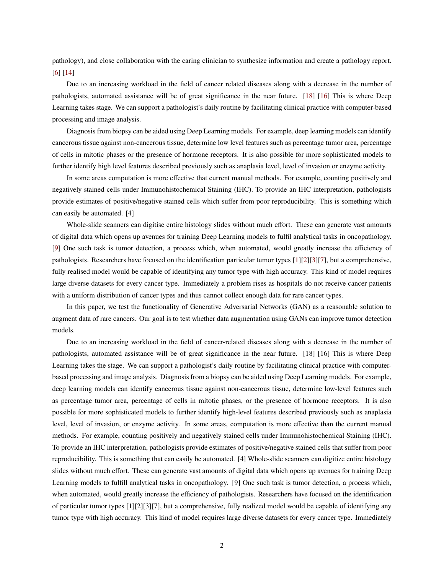pathology), and close collaboration with the caring clinician to synthesize information and create a pathology report. [\[6\]](#page-5-0) [\[14\]](#page-6-0)

Due to an increasing workload in the field of cancer related diseases along with a decrease in the number of pathologists, automated assistance will be of great significance in the near future. [\[18\]](#page-6-1) [\[16\]](#page-6-2) This is where Deep Learning takes stage. We can support a pathologist's daily routine by facilitating clinical practice with computer-based processing and image analysis.

Diagnosis from biopsy can be aided using Deep Learning models. For example, deep learning models can identify cancerous tissue against non-cancerous tissue, determine low level features such as percentage tumor area, percentage of cells in mitotic phases or the presence of hormone receptors. It is also possible for more sophisticated models to further identify high level features described previously such as anaplasia level, level of invasion or enzyme activity.

In some areas computation is more effective that current manual methods. For example, counting positively and negatively stained cells under Immunohistochemical Staining (IHC). To provide an IHC interpretation, pathologists provide estimates of positive/negative stained cells which suffer from poor reproducibility. This is something which can easily be automated. [4]

Whole-slide scanners can digitise entire histology slides without much effort. These can generate vast amounts of digital data which opens up avenues for training Deep Learning models to fulfil analytical tasks in oncopathology. [\[9\]](#page-5-1) One such task is tumor detection, a process which, when automated, would greatly increase the efficiency of pathologists. Researchers have focused on the identification particular tumor types [\[1\]](#page-5-2)[\[2\]](#page-5-3)[\[3\]](#page-5-4)[\[7\]](#page-5-5), but a comprehensive, fully realised model would be capable of identifying any tumor type with high accuracy. This kind of model requires large diverse datasets for every cancer type. Immediately a problem rises as hospitals do not receive cancer patients with a uniform distribution of cancer types and thus cannot collect enough data for rare cancer types.

In this paper, we test the functionality of Generative Adversarial Networks (GAN) as a reasonable solution to augment data of rare cancers. Our goal is to test whether data augmentation using GANs can improve tumor detection models.

Due to an increasing workload in the field of cancer-related diseases along with a decrease in the number of pathologists, automated assistance will be of great significance in the near future. [18] [16] This is where Deep Learning takes the stage. We can support a pathologist's daily routine by facilitating clinical practice with computerbased processing and image analysis. Diagnosis from a biopsy can be aided using Deep Learning models. For example, deep learning models can identify cancerous tissue against non-cancerous tissue, determine low-level features such as percentage tumor area, percentage of cells in mitotic phases, or the presence of hormone receptors. It is also possible for more sophisticated models to further identify high-level features described previously such as anaplasia level, level of invasion, or enzyme activity. In some areas, computation is more effective than the current manual methods. For example, counting positively and negatively stained cells under Immunohistochemical Staining (IHC). To provide an IHC interpretation, pathologists provide estimates of positive/negative stained cells that suffer from poor reproducibility. This is something that can easily be automated. [4] Whole-slide scanners can digitize entire histology slides without much effort. These can generate vast amounts of digital data which opens up avenues for training Deep Learning models to fulfill analytical tasks in oncopathology. [9] One such task is tumor detection, a process which, when automated, would greatly increase the efficiency of pathologists. Researchers have focused on the identification of particular tumor types [1][2][3][7], but a comprehensive, fully realized model would be capable of identifying any tumor type with high accuracy. This kind of model requires large diverse datasets for every cancer type. Immediately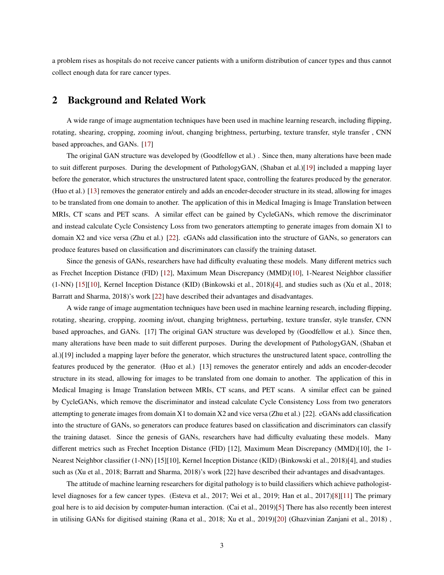a problem rises as hospitals do not receive cancer patients with a uniform distribution of cancer types and thus cannot collect enough data for rare cancer types.

## **2 Background and Related Work**

A wide range of image augmentation techniques have been used in machine learning research, including flipping, rotating, shearing, cropping, zooming in/out, changing brightness, perturbing, texture transfer, style transfer , CNN based approaches, and GANs. [\[17\]](#page-6-3)

The original GAN structure was developed by (Goodfellow et al.) . Since then, many alterations have been made to suit different purposes. During the development of PathologyGAN, (Shaban et al.)[\[19\]](#page-6-4) included a mapping layer before the generator, which structures the unstructured latent space, controlling the features produced by the generator. (Huo et al.) [\[13\]](#page-6-5) removes the generator entirely and adds an encoder-decoder structure in its stead, allowing for images to be translated from one domain to another. The application of this in Medical Imaging is Image Translation between MRIs, CT scans and PET scans. A similar effect can be gained by CycleGANs, which remove the discriminator and instead calculate Cycle Consistency Loss from two generators attempting to generate images from domain X1 to domain X2 and vice versa (Zhu et al.) [\[22\]](#page-6-6). cGANs add classification into the structure of GANs, so generators can produce features based on classification and discriminators can classify the training dataset.

Since the genesis of GANs, researchers have had difficulty evaluating these models. Many different metrics such as Frechet Inception Distance (FID) [\[12\]](#page-5-6), Maximum Mean Discrepancy (MMD)[\[10\]](#page-5-7), 1-Nearest Neighbor classifier (1-NN) [\[15\]](#page-6-7)[\[10\]](#page-5-7), Kernel Inception Distance (KID) (Binkowski et al., 2018)[\[4\]](#page-5-8), and studies such as (Xu et al., 2018; Barratt and Sharma, 2018)'s work [\[22\]](#page-6-6) have described their advantages and disadvantages.

A wide range of image augmentation techniques have been used in machine learning research, including flipping, rotating, shearing, cropping, zooming in/out, changing brightness, perturbing, texture transfer, style transfer, CNN based approaches, and GANs. [17] The original GAN structure was developed by (Goodfellow et al.). Since then, many alterations have been made to suit different purposes. During the development of PathologyGAN, (Shaban et al.)[19] included a mapping layer before the generator, which structures the unstructured latent space, controlling the features produced by the generator. (Huo et al.) [13] removes the generator entirely and adds an encoder-decoder structure in its stead, allowing for images to be translated from one domain to another. The application of this in Medical Imaging is Image Translation between MRIs, CT scans, and PET scans. A similar effect can be gained by CycleGANs, which remove the discriminator and instead calculate Cycle Consistency Loss from two generators attempting to generate images from domain X1 to domain X2 and vice versa (Zhu et al.) [22]. cGANs add classification into the structure of GANs, so generators can produce features based on classification and discriminators can classify the training dataset. Since the genesis of GANs, researchers have had difficulty evaluating these models. Many different metrics such as Frechet Inception Distance (FID) [12], Maximum Mean Discrepancy (MMD)[10], the 1- Nearest Neighbor classifier (1-NN) [15][10], Kernel Inception Distance (KID) (Binkowski et al., 2018)[4], and studies such as (Xu et al., 2018; Barratt and Sharma, 2018)'s work [22] have described their advantages and disadvantages.

The attitude of machine learning researchers for digital pathology is to build classifiers which achieve pathologistlevel diagnoses for a few cancer types. (Esteva et al., 2017; Wei et al., 2019; Han et al., 2017)[\[8\]](#page-5-9)[\[11\]](#page-5-10) The primary goal here is to aid decision by computer-human interaction. (Cai et al., 2019)[\[5\]](#page-5-11) There has also recently been interest in utilising GANs for digitised staining (Rana et al., 2018; Xu et al., 2019)[\[20\]](#page-6-8) (Ghazvinian Zanjani et al., 2018) ,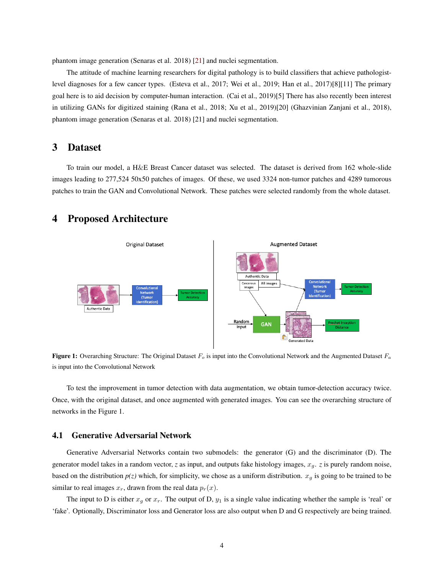phantom image generation (Senaras et al. 2018) [\[21\]](#page-6-9) and nuclei segmentation.

The attitude of machine learning researchers for digital pathology is to build classifiers that achieve pathologistlevel diagnoses for a few cancer types. (Esteva et al., 2017; Wei et al., 2019; Han et al., 2017)[8][11] The primary goal here is to aid decision by computer-human interaction. (Cai et al., 2019)[5] There has also recently been interest in utilizing GANs for digitized staining (Rana et al., 2018; Xu et al., 2019)[20] (Ghazvinian Zanjani et al., 2018), phantom image generation (Senaras et al. 2018) [21] and nuclei segmentation.

## **3 Dataset**

To train our model, a H&E Breast Cancer dataset was selected. The dataset is derived from 162 whole-slide images leading to 277,524 50x50 patches of images. Of these, we used 3324 non-tumor patches and 4289 tumorous patches to train the GAN and Convolutional Network. These patches were selected randomly from the whole dataset.



### **4 Proposed Architecture**

**Figure 1:** Overarching Structure: The Original Dataset  $F<sub>o</sub>$  is input into the Convolutional Network and the Augmented Dataset  $F<sub>a</sub>$ is input into the Convolutional Network

To test the improvement in tumor detection with data augmentation, we obtain tumor-detection accuracy twice. Once, with the original dataset, and once augmented with generated images. You can see the overarching structure of networks in the Figure 1.

#### **4.1 Generative Adversarial Network**

Generative Adversarial Networks contain two submodels: the generator (G) and the discriminator (D). The generator model takes in a random vector, *z* as input, and outputs fake histology images,  $x_q$ . *z* is purely random noise, based on the distribution  $p(z)$  which, for simplicity, we chose as a uniform distribution.  $x_q$  is going to be trained to be similar to real images  $x_r$ , drawn from the real data  $p_r(x)$ .

The input to D is either  $x_q$  or  $x_r$ . The output of D,  $y_1$  is a single value indicating whether the sample is 'real' or 'fake'. Optionally, Discriminator loss and Generator loss are also output when D and G respectively are being trained.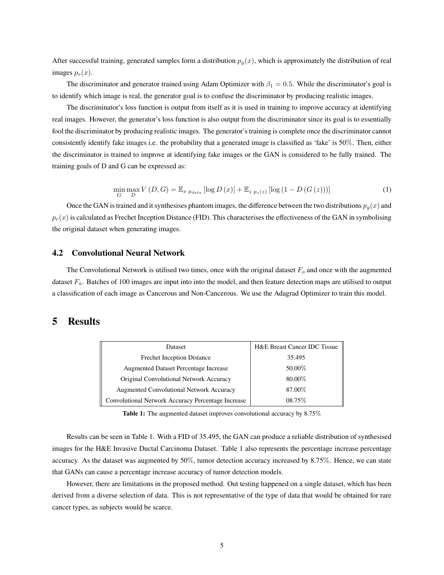After successful training, generated samples form a distribution  $p_q(x)$ , which is approximately the distribution of real images  $p_r(x)$ .

The discriminator and generator trained using Adam Optimizer with  $\beta_1 = 0.5$ . While the discriminator's goal is to identify which image is real, the generator goal is to confuse the discriminator by producing realistic images.

The discriminator's loss function is output from itself as it is used in training to improve accuracy at identifying real images. However, the generator's loss function is also output from the discriminator since its goal is to essentially fool the discriminator by producing realistic images. The generator's training is complete once the discriminator cannot consistently identify fake images i.e. the probability that a generated image is classified as 'fake' is 50%. Then, either the discriminator is trained to improve at identifying fake images or the GAN is considered to be fully trained. The training goals of D and G can be expressed as:

$$
\min_{G} \max_{D} V(D, G) = \mathbb{E}_{x \; p_{data}} \left[ \log D(x) \right] + \mathbb{E}_{z \; p_{z}(z)} \left[ \log \left( 1 - D\left( G\left( z\right) \right) \right) \right] \tag{1}
$$

Once the GAN is trained and it synthesises phantom images, the difference between the two distributions  $p_g(x)$  and  $p_r(x)$  is calculated as Frechet Inception Distance (FID). This characterises the effectiveness of the GAN in symbolising the original dataset when generating images.

#### **4.2 Convolutional Neural Network**

The Convolutional Network is utilised two times, once with the original dataset  $F<sub>o</sub>$  and once with the augmented dataset  $F_a$ . Batches of 100 images are input into into the model, and then feature detection maps are utilised to output a classification of each image as Cancerous and Non-Cancerous. We use the Adagrad Optimizer to train this model.

## **5 Results**

| Dataset                                            | <b>H&amp;E Breast Cancer IDC Tissue</b> |
|----------------------------------------------------|-----------------------------------------|
| <b>Frechet Inception Distance</b>                  | 35.495                                  |
| <b>Augmented Dataset Percentage Increase</b>       | 50.00%                                  |
| Original Convolutional Network Accuracy            | 80.00%                                  |
| Augmented Convolutional Network Accuracy           | 87.00%                                  |
| Convolutional Network Accuracy Percentage Increase | 08.75\%                                 |

**Table 1:** The augmented dataset improves convolutional accuracy by 8.75%

Results can be seen in Table 1. With a FID of 35.495, the GAN can produce a reliable distribution of synthesised images for the H&E Invasive Ductal Carcinoma Dataset. Table 1 also represents the percentage increase percentage accuracy. As the dataset was augmented by 50%, tumor detection accuracy increased by 8.75%. Hence, we can state that GANs can cause a percentage increase accuracy of tumor detection models.

However, there are limitations in the proposed method. Out testing happened on a single dataset, which has been derived from a diverse selection of data. This is not representative of the type of data that would be obtained for rare cancer types, as subjects would be scarce.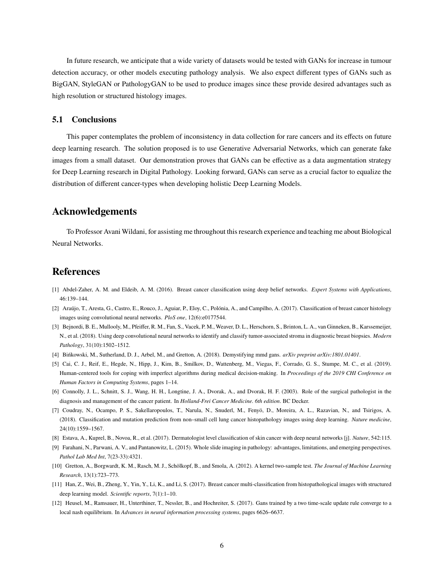In future research, we anticipate that a wide variety of datasets would be tested with GANs for increase in tumour detection accuracy, or other models executing pathology analysis. We also expect different types of GANs such as BigGAN, StyleGAN or PathologyGAN to be used to produce images since these provide desired advantages such as high resolution or structured histology images.

#### **5.1 Conclusions**

This paper contemplates the problem of inconsistency in data collection for rare cancers and its effects on future deep learning research. The solution proposed is to use Generative Adversarial Networks, which can generate fake images from a small dataset. Our demonstration proves that GANs can be effective as a data augmentation strategy for Deep Learning research in Digital Pathology. Looking forward, GANs can serve as a crucial factor to equalize the distribution of different cancer-types when developing holistic Deep Learning Models.

### **Acknowledgements**

To Professor Avani Wildani, for assisting me throughout this research experience and teaching me about Biological Neural Networks.

### **References**

- <span id="page-5-2"></span>[1] Abdel-Zaher, A. M. and Eldeib, A. M. (2016). Breast cancer classification using deep belief networks. *Expert Systems with Applications*, 46:139–144.
- <span id="page-5-3"></span>[2] Araújo, T., Aresta, G., Castro, E., Rouco, J., Aguiar, P., Eloy, C., Polónia, A., and Campilho, A. (2017). Classification of breast cancer histology images using convolutional neural networks. *PloS one*, 12(6):e0177544.
- <span id="page-5-4"></span>[3] Bejnordi, B. E., Mullooly, M., Pfeiffer, R. M., Fan, S., Vacek, P. M., Weaver, D. L., Herschorn, S., Brinton, L. A., van Ginneken, B., Karssemeijer, N., et al. (2018). Using deep convolutional neural networks to identify and classify tumor-associated stroma in diagnostic breast biopsies. *Modern Pathology*, 31(10):1502–1512.
- <span id="page-5-11"></span><span id="page-5-8"></span>[4] Bińkowski, M., Sutherland, D. J., Arbel, M., and Gretton, A. (2018). Demystifying mmd gans. *arXiv preprint arXiv:1801.01401*.
- [5] Cai, C. J., Reif, E., Hegde, N., Hipp, J., Kim, B., Smilkov, D., Wattenberg, M., Viegas, F., Corrado, G. S., Stumpe, M. C., et al. (2019). Human-centered tools for coping with imperfect algorithms during medical decision-making. In *Proceedings of the 2019 CHI Conference on Human Factors in Computing Systems*, pages 1–14.
- <span id="page-5-0"></span>[6] Connolly, J. L., Schnitt, S. J., Wang, H. H., Longtine, J. A., Dvorak, A., and Dvorak, H. F. (2003). Role of the surgical pathologist in the diagnosis and management of the cancer patient. In *Holland-Frei Cancer Medicine. 6th edition*. BC Decker.
- <span id="page-5-5"></span>[7] Coudray, N., Ocampo, P. S., Sakellaropoulos, T., Narula, N., Snuderl, M., Fenyö, D., Moreira, A. L., Razavian, N., and Tsirigos, A. (2018). Classification and mutation prediction from non–small cell lung cancer histopathology images using deep learning. *Nature medicine*, 24(10):1559–1567.
- <span id="page-5-9"></span>[8] Estava, A., Kuprel, B., Novoa, R., et al. (2017). Dermatologist level classification of skin cancer with deep neural networks [j]. *Nature*, 542:115.
- <span id="page-5-1"></span>[9] Farahani, N., Parwani, A. V., and Pantanowitz, L. (2015). Whole slide imaging in pathology: advantages, limitations, and emerging perspectives. *Pathol Lab Med Int*, 7(23-33):4321.
- <span id="page-5-7"></span>[10] Gretton, A., Borgwardt, K. M., Rasch, M. J., Schölkopf, B., and Smola, A. (2012). A kernel two-sample test. *The Journal of Machine Learning Research*, 13(1):723–773.
- <span id="page-5-10"></span>[11] Han, Z., Wei, B., Zheng, Y., Yin, Y., Li, K., and Li, S. (2017). Breast cancer multi-classification from histopathological images with structured deep learning model. *Scientific reports*, 7(1):1–10.
- <span id="page-5-6"></span>[12] Heusel, M., Ramsauer, H., Unterthiner, T., Nessler, B., and Hochreiter, S. (2017). Gans trained by a two time-scale update rule converge to a local nash equilibrium. In *Advances in neural information processing systems*, pages 6626–6637.